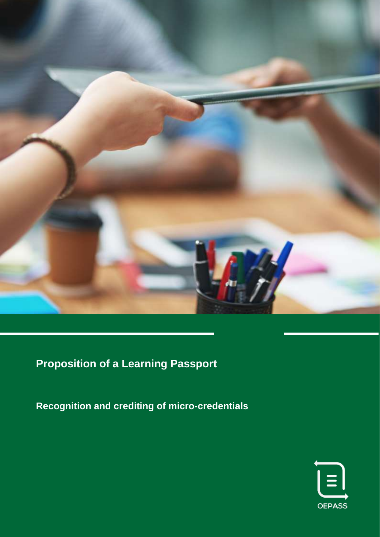

**Proposition of a Learning Passport**

**Recognition and crediting of micro-credentials**

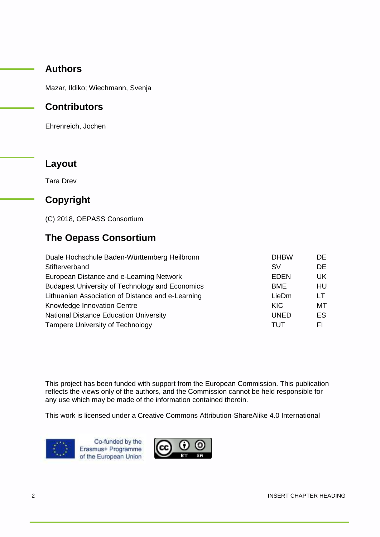## **Authors**

Mazar, Ildiko; Wiechmann, Svenja

## **Contributors**

Ehrenreich, Jochen

# **Layout**

Tara Drev

# **Copyright**

(C) 2018, OEPASS Consortium

# **The Oepass Consortium**

| <b>DHBW</b> | DF. |
|-------------|-----|
| <b>SV</b>   | DE. |
| <b>EDEN</b> | UK. |
| <b>BME</b>  | HU  |
| LieDm       | l T |
| KIC.        | МT  |
| <b>UNED</b> | ES  |
| TUT         | FI. |
|             |     |

This project has been funded with support from the European Commission. This publication reflects the views only of the authors, and the Commission cannot be held responsible for any use which may be made of the information contained therein.

This work is licensed under a Creative Commons Attribution-ShareAlike 4.0 International



Co-funded by the Erasmus+ Programme of the European Union

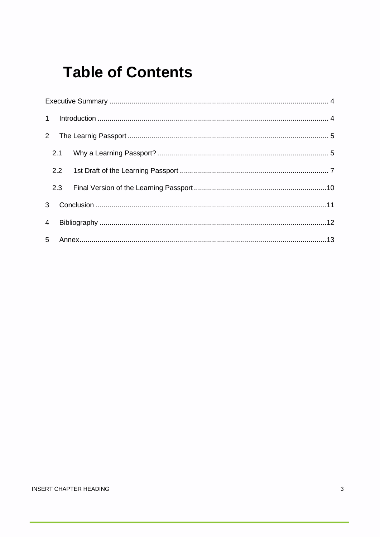# **Table of Contents**

| 1              |     |  |
|----------------|-----|--|
| $2^{\circ}$    |     |  |
|                | 2.1 |  |
|                |     |  |
|                |     |  |
| 3              |     |  |
| $\overline{4}$ |     |  |
| 5              |     |  |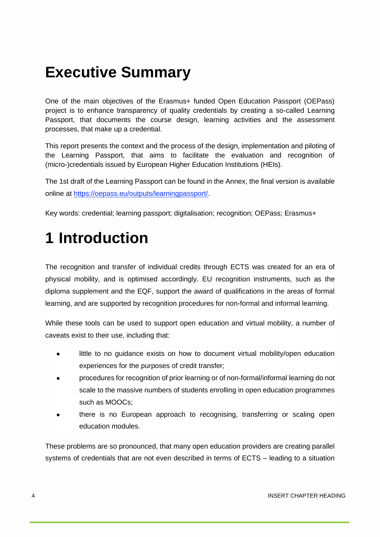# <span id="page-3-0"></span>**Executive Summary**

One of the main objectives of the Erasmus+ funded Open Education Passport (OEPass) project is to enhance transparency of quality credentials by creating a so-called Learning Passport, that documents the course design, learning activities and the assessment processes, that make up a credential.

This report presents the context and the process of the design, implementation and piloting of the Learning Passport, that aims to facilitate the evaluation and recognition of (micro-)credentials issued by European Higher Education Institutions (HEIs).

The 1st draft of the Learning Passport can be found in the Annex, the final version is available online at [https://oepass.eu/outputs/learningpassport/.](https://oepass.eu/outputs/learningpassport/)

Key words: credential; learning passport; digitalisation; recognition; OEPass; Erasmus+

# <span id="page-3-1"></span>**1 Introduction**

The recognition and transfer of individual credits through ECTS was created for an era of physical mobility, and is optimised accordingly. EU recognition instruments, such as the diploma supplement and the EQF, support the award of qualifications in the areas of formal learning, and are supported by recognition procedures for non-formal and informal learning.

While these tools can be used to support open education and virtual mobility, a number of caveats exist to their use, including that:

- little to no quidance exists on how to document virtual mobility/open education experiences for the purposes of credit transfer;
- procedures for recognition of prior learning or of non-formal/informal learning do not scale to the massive numbers of students enrolling in open education programmes such as MOOCs;
- there is no European approach to recognising, transferring or scaling open education modules.

These problems are so pronounced, that many open education providers are creating parallel systems of credentials that are not even described in terms of ECTS – leading to a situation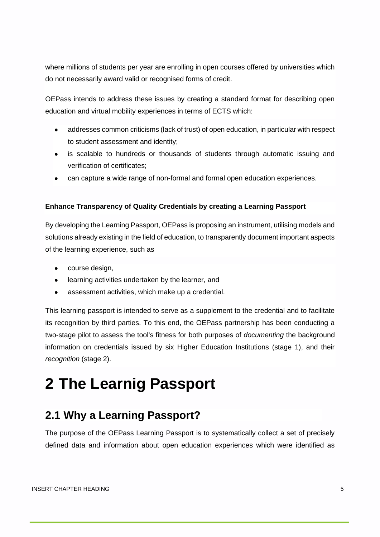where millions of students per year are enrolling in open courses offered by universities which do not necessarily award valid or recognised forms of credit.

OEPass intends to address these issues by creating a standard format for describing open education and virtual mobility experiences in terms of ECTS which:

- addresses common criticisms (lack of trust) of open education, in particular with respect to student assessment and identity;
- is scalable to hundreds or thousands of students through automatic issuing and verification of certificates;
- can capture a wide range of non-formal and formal open education experiences.

#### **Enhance Transparency of Quality Credentials by creating a Learning Passport**

By developing the Learning Passport, OEPass is proposing an instrument, utilising models and solutions already existing in the field of education, to transparently document important aspects of the learning experience, such as

- course design,
- learning activities undertaken by the learner, and
- assessment activities, which make up a credential.

This learning passport is intended to serve as a supplement to the credential and to facilitate its recognition by third parties. To this end, the OEPass partnership has been conducting a two-stage pilot to assess the tool's fitness for both purposes of *documenting* the background information on credentials issued by six Higher Education Institutions (stage 1), and their *recognition* (stage 2).

# <span id="page-4-0"></span>**2 The Learnig Passport**

# <span id="page-4-1"></span>**2.1 Why a Learning Passport?**

The purpose of the OEPass Learning Passport is to systematically collect a set of precisely defined data and information about open education experiences which were identified as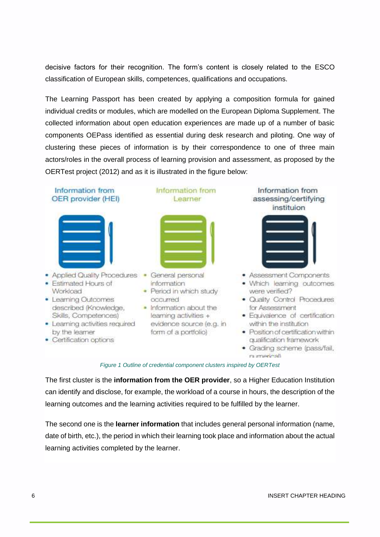decisive factors for their recognition. The form's content is closely related to the ESCO classification of European skills, competences, qualifications and occupations.

The Learning Passport has been created by applying a composition formula for gained individual credits or modules, which are modelled on the European Diploma Supplement. The collected information about open education experiences are made up of a number of basic components OEPass identified as essential during desk research and piloting. One way of clustering these pieces of information is by their correspondence to one of three main actors/roles in the overall process of learning provision and assessment, as proposed by the OERTest project (2012) and as it is illustrated in the figure below:



The first cluster is the **information from the OER provider**, so a Higher Education Institution can identify and disclose, for example, the workload of a course in hours, the description of the learning outcomes and the learning activities required to be fulfilled by the learner.

The second one is the **learner information** that includes general personal information (name, date of birth, etc.), the period in which their learning took place and information about the actual learning activities completed by the learner.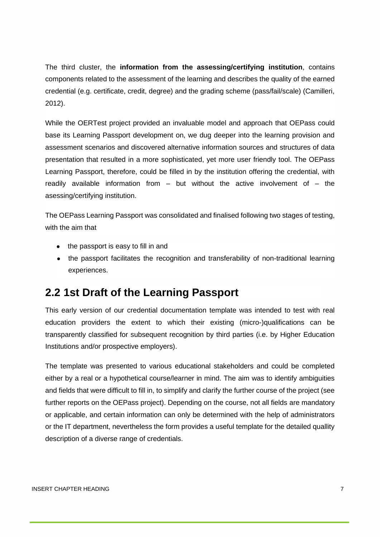The third cluster, the **information from the assessing/certifying institution**, contains components related to the assessment of the learning and describes the quality of the earned credential (e.g. certificate, credit, degree) and the grading scheme (pass/fail/scale) (Camilleri, 2012).

While the OERTest project provided an invaluable model and approach that OEPass could base its Learning Passport development on, we dug deeper into the learning provision and assessment scenarios and discovered alternative information sources and structures of data presentation that resulted in a more sophisticated, yet more user friendly tool. The OEPass Learning Passport, therefore, could be filled in by the institution offering the credential, with readily available information from  $-$  but without the active involvement of  $-$  the asessing/certifying institution.

The OEPass Learning Passport was consolidated and finalised following two stages of testing, with the aim that

- the passport is easy to fill in and
- the passport facilitates the recognition and transferability of non-traditional learning experiences.

# <span id="page-6-0"></span>**2.2 1st Draft of the Learning Passport**

This early version of our credential documentation template was intended to test with real education providers the extent to which their existing (micro-)qualifications can be transparently classified for subsequent recognition by third parties (i.e. by Higher Education Institutions and/or prospective employers).

The template was presented to various educational stakeholders and could be completed either by a real or a hypothetical course/learner in mind. The aim was to identify ambiguities and fields that were difficult to fill in, to simplify and clarify the further course of the project (see further reports on the OEPass project). Depending on the course, not all fields are mandatory or applicable, and certain information can only be determined with the help of administrators or the IT department, nevertheless the form provides a useful template for the detailed quallity description of a diverse range of credentials.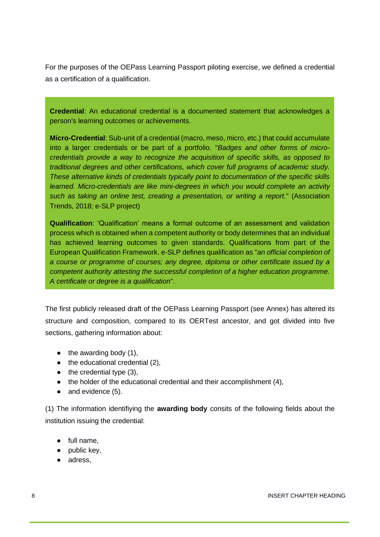For the purposes of the OEPass Learning Passport piloting exercise, we defined a credential as a certification of a qualification.

**Credential**: An educational credential is a documented statement that acknowledges a person's learning outcomes or achievements.

**Micro-Credential**: Sub-unit of a credential (macro, meso, micro, etc.) that could accumulate into a larger credentials or be part of a portfolio. "*Badges and other forms of microcredentials provide a way to recognize the acquisition of specific skills, as opposed to traditional degrees and other certifications, which cover full programs of academic study. These alternative kinds of credentials typically point to documentation of the specific skills learned. Micro-credentials are like mini-degrees in which you would complete an activity such as taking an online test, creating a presentation, or writing a report.*" (Association Trends, 2018; e-SLP project)

**Qualification**: 'Qualification' means a formal outcome of an assessment and validation process which is obtained when a competent authority or body determines that an individual has achieved learning outcomes to given standards. Qualifications from part of the European Qualification Framework. e-SLP defines qualification as "*an official completion of a course or programme of courses; any degree, diploma or other certificate issued by a competent authority attesting the successful completion of a higher education programme. A certificate or degree is a qualification*".

The first publicly released draft of the OEPass Learning Passport (see Annex) has altered its structure and composition, compared to its OERTest ancestor, and got divided into five sections, gathering information about:

- $\bullet$  the awarding body (1),
- $\bullet$  the educational credential (2),
- $\bullet$  the credential type  $(3)$ ,
- $\bullet$  the holder of the educational credential and their accomplishment (4),
- and evidence (5).

(1) The information identifiying the **awarding body** consits of the following fields about the institution issuing the credential:

- full name,
- $\bullet$  public key,
- adress.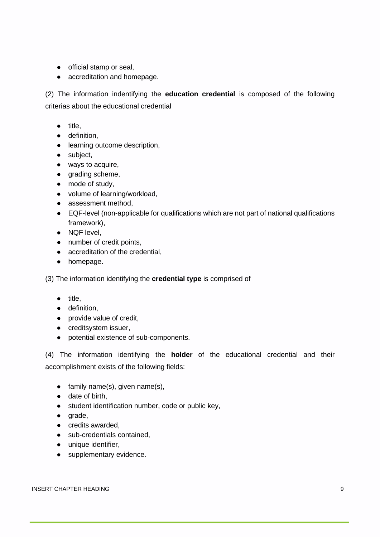- official stamp or seal,
- accreditation and homepage.

(2) The information indentifying the **education credential** is composed of the following criterias about the educational credential

- title,
- definition,
- learning outcome description,
- subject,
- ways to acquire,
- grading scheme,
- mode of study,
- volume of learning/workload,
- assessment method,
- EQF-level (non-applicable for qualifications which are not part of national qualifications framework),
- NQF level,
- number of credit points,
- accreditation of the credential,
- homepage.

(3) The information identifying the **credential type** is comprised of

- title,
- definition,
- provide value of credit,
- creditsystem issuer,
- potential existence of sub-components.

(4) The information identifying the **holder** of the educational credential and their accomplishment exists of the following fields:

- $\bullet$  family name(s), given name(s),
- date of birth,
- student identification number, code or public key,
- grade,
- credits awarded,
- sub-credentials contained,
- unique identifier,
- supplementary evidence.

INSERT CHAPTER HEADING 9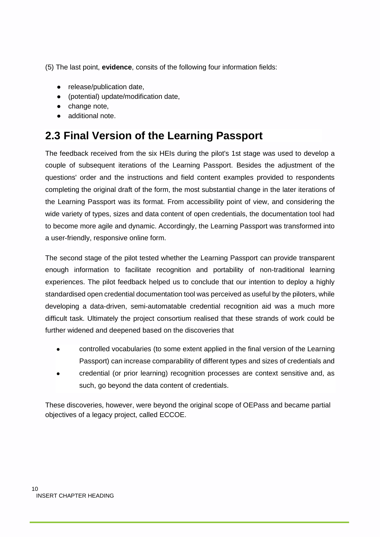(5) The last point, **evidence**, consits of the following four information fields:

- release/publication date,
- (potential) update/modification date,
- change note,
- additional note.

# <span id="page-9-0"></span>**2.3 Final Version of the Learning Passport**

The feedback received from the six HEIs during the pilot's 1st stage was used to develop a couple of subsequent iterations of the Learning Passport. Besides the adjustment of the questions' order and the instructions and field content examples provided to respondents completing the original draft of the form, the most substantial change in the later iterations of the Learning Passport was its format. From accessibility point of view, and considering the wide variety of types, sizes and data content of open credentials, the documentation tool had to become more agile and dynamic. Accordingly, the Learning Passport was transformed into a user-friendly, responsive online form.

The second stage of the pilot tested whether the Learning Passport can provide transparent enough information to facilitate recognition and portability of non-traditional learning experiences. The pilot feedback helped us to conclude that our intention to deploy a highly standardised open credential documentation tool was perceived as useful by the piloters, while developing a data-driven, semi-automatable credential recognition aid was a much more difficult task. Ultimately the project consortium realised that these strands of work could be further widened and deepened based on the discoveries that

- controlled vocabularies (to some extent applied in the final version of the Learning Passport) can increase comparability of different types and sizes of credentials and
- credential (or prior learning) recognition processes are context sensitive and, as such, go beyond the data content of credentials.

These discoveries, however, were beyond the original scope of OEPass and became partial objectives of a legacy project, called ECCOE.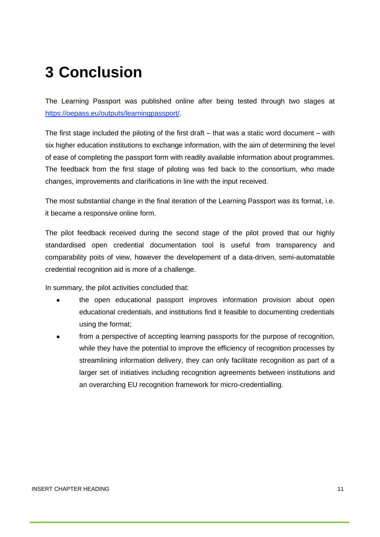# <span id="page-10-0"></span>**3 Conclusion**

The Learning Passport was published online after being tested through two stages at [https://oepass.eu/outputs/learningpassport/.](https://oepass.eu/outputs/learningpassport/)

The first stage included the piloting of the first draft – that was a static word document – with six higher education institutions to exchange information, with the aim of determining the level of ease of completing the passport form with readily available information about programmes. The feedback from the first stage of piloting was fed back to the consortium, who made changes, improvements and clarifications in line with the input received.

The most substantial change in the final iteration of the Learning Passport was its format, i.e. it became a responsive online form.

The pilot feedback received during the second stage of the pilot proved that our highly standardised open credential documentation tool is useful from transparency and comparability poits of view, however the developement of a data-driven, semi-automatable credential recognition aid is more of a challenge.

In summary, the pilot activities concluded that:

- the open educational passport improves information provision about open educational credentials, and institutions find it feasible to documenting credentials using the format;
- from a perspective of accepting learning passports for the purpose of recognition, while they have the potential to improve the efficiency of recognition processes by streamlining information delivery, they can only facilitate recognition as part of a larger set of initiatives including recognition agreements between institutions and an overarching EU recognition framework for micro-credentialling.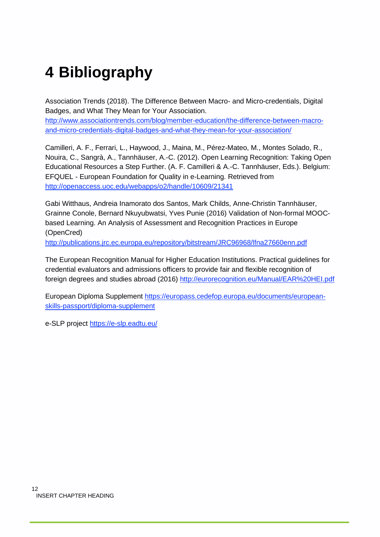# <span id="page-11-0"></span>**4 Bibliography**

Association Trends (2018). The Difference Between Macro- and Micro-credentials, Digital Badges, and What They Mean for Your Association. [http://www.associationtrends.com/blog/member-education/the-difference-between-macro](http://www.associationtrends.com/blog/member-education/the-difference-between-macro-and-micro-credentials-digital-badges-and-what-they-mean-for-your-association/)[and-micro-credentials-digital-badges-and-what-they-mean-for-your-association/](http://www.associationtrends.com/blog/member-education/the-difference-between-macro-and-micro-credentials-digital-badges-and-what-they-mean-for-your-association/)

Camilleri, A. F., Ferrari, L., Haywood, J., Maina, M., Pérez-Mateo, M., Montes Solado, R., Nouira, C., Sangrà, A., Tannhäuser, A.-C. (2012). Open Learning Recognition: Taking Open Educational Resources a Step Further. (A. F. Camilleri & A.-C. Tannhäuser, Eds.). Belgium: EFQUEL - European Foundation for Quality in e-Learning. Retrieved from <http://openaccess.uoc.edu/webapps/o2/handle/10609/21341>

Gabi Witthaus, Andreia Inamorato dos Santos, Mark Childs, Anne-Christin Tannhäuser, Grainne Conole, Bernard Nkuyubwatsi, Yves Punie (2016) Validation of Non-formal MOOCbased Learning. An Analysis of Assessment and Recognition Practices in Europe (OpenCred)

<http://publications.jrc.ec.europa.eu/repository/bitstream/JRC96968/lfna27660enn.pdf>

The European Recognition Manual for Higher Education Institutions. Practical guidelines for credential evaluators and admissions officers to provide fair and flexible recognition of foreign degrees and studies abroad (2016) <http://eurorecognition.eu/Manual/EAR%20HEI.pdf>

European Diploma Supplement [https://europass.cedefop.europa.eu/documents/european](https://europass.cedefop.europa.eu/documents/european-skills-passport/diploma-supplement)[skills-passport/diploma-supplement](https://europass.cedefop.europa.eu/documents/european-skills-passport/diploma-supplement)

e-SLP project <https://e-slp.eadtu.eu/>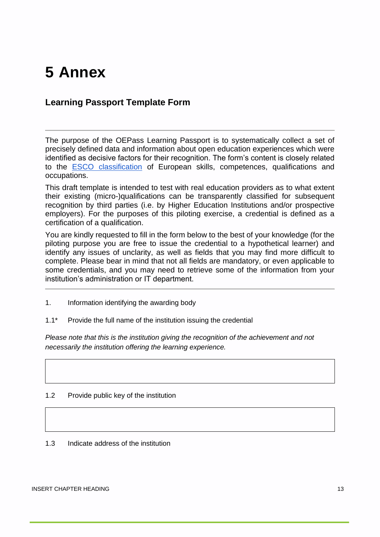# <span id="page-12-0"></span>**5 Annex**

## **Learning Passport Template Form**

The purpose of the OEPass Learning Passport is to systematically collect a set of precisely defined data and information about open education experiences which were identified as decisive factors for their recognition. The form's content is closely related to the [ESCO classification](https://ec.europa.eu/esco/portal) of European skills, competences, qualifications and occupations.

This draft template is intended to test with real education providers as to what extent their existing (micro-)qualifications can be transparently classified for subsequent recognition by third parties (i.e. by Higher Education Institutions and/or prospective employers). For the purposes of this piloting exercise, a credential is defined as a certification of a qualification.

You are kindly requested to fill in the form below to the best of your knowledge (for the piloting purpose you are free to issue the credential to a hypothetical learner) and identify any issues of unclarity, as well as fields that you may find more difficult to complete. Please bear in mind that not all fields are mandatory, or even applicable to some credentials, and you may need to retrieve some of the information from your institution's administration or IT department.

- 1. Information identifying the awarding body
- 1.1\* Provide the full name of the institution issuing the credential

*Please note that this is the institution giving the recognition of the achievement and not necessarily the institution offering the learning experience.*

### 1.2 Provide public key of the institution

1.3 Indicate address of the institution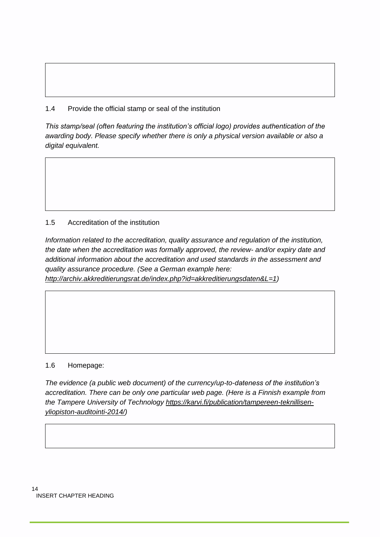## 1.4 Provide the official stamp or seal of the institution

*This stamp/seal (often featuring the institution's official logo) provides authentication of the awarding body. Please specify whether there is only a physical version available or also a digital equivalent.*

## 1.5 Accreditation of the institution

*Information related to the accreditation, quality assurance and regulation of the institution, the date when the accreditation was formally approved, the review- and/or expiry date and additional information about the accreditation and used standards in the assessment and quality assurance procedure. (See a German example here: [http://archiv.akkreditierungsrat.de/index.php?id=akkreditierungsdaten&L=1\)](http://archiv.akkreditierungsrat.de/index.php?id=akkreditierungsdaten&L=1)*

### 1.6 Homepage:

*The evidence (a public web document) of the currency/up-to-dateness of the institution's accreditation. There can be only one particular web page. (Here is a Finnish example from the Tampere University of Technology [https://karvi.fi/publication/tampereen-teknillisen](https://karvi.fi/publication/tampereen-teknillisen-yliopiston-auditointi-2014/)[yliopiston-auditointi-2014/\)](https://karvi.fi/publication/tampereen-teknillisen-yliopiston-auditointi-2014/)*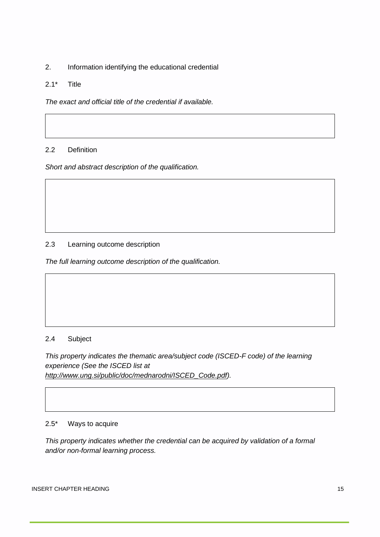- 2. Information identifying the educational credential
- 2.1\* Title

*The exact and official title of the credential if available.*

#### 2.2 Definition

*Short and abstract description of the qualification.*

### 2.3 Learning outcome description

*The full learning outcome description of the qualification.*

#### 2.4 Subject

*This property indicates the thematic area/subject code (ISCED-F code) of the learning experience (See the ISCED list at [http://www.ung.si/public/doc/mednarodni/ISCED\\_Code.pdf\)](http://www.ung.si/public/doc/mednarodni/ISCED_Code.pdf).*

#### 2.5\* Ways to acquire

*This property indicates whether the credential can be acquired by validation of a formal and/or non-formal learning process.*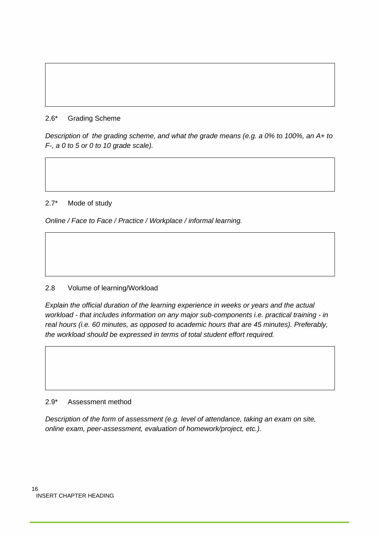#### 2.6\* Grading Scheme

*Description of the grading scheme, and what the grade means (e.g. a 0% to 100%, an A+ to F-, a 0 to 5 or 0 to 10 grade scale).*

#### 2.7\* Mode of study

*Online / Face to Face / Practice / Workplace / informal learning.*

### 2.8 Volume of learning/Workload

*Explain the official duration of the learning experience in weeks or years and the actual workload - that includes information on any major sub-components i.e. practical training - in real hours (i.e. 60 minutes, as opposed to academic hours that are 45 minutes). Preferably, the workload should be expressed in terms of total student effort required.*

#### 2.9\* Assessment method

*Description of the form of assessment (e.g. level of attendance, taking an exam on site, online exam, peer-assessment, evaluation of homework/project, etc.).*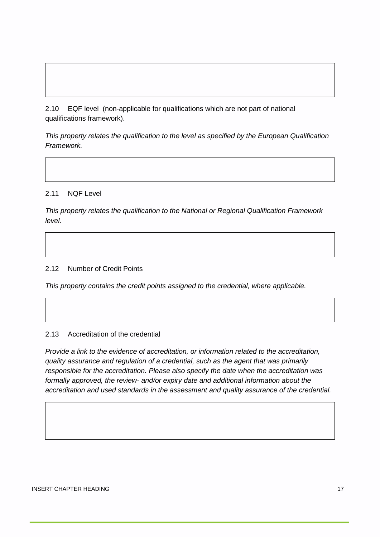2.10 EQF level (non-applicable for qualifications which are not part of national qualifications framework).

*This property relates the qualification to the level as specified by the European Qualification Framework.*

#### 2.11 NQF Level

*This property relates the qualification to the National or Regional Qualification Framework level.*

#### 2.12 Number of Credit Points

*This property contains the credit points assigned to the credential, where applicable.*

#### 2.13 Accreditation of the credential

*Provide a link to the evidence of accreditation, or information related to the accreditation, quality assurance and regulation of a credential, such as the agent that was primarily responsible for the accreditation. Please also specify the date when the accreditation was formally approved, the review- and/or expiry date and additional information about the accreditation and used standards in the assessment and quality assurance of the credential.*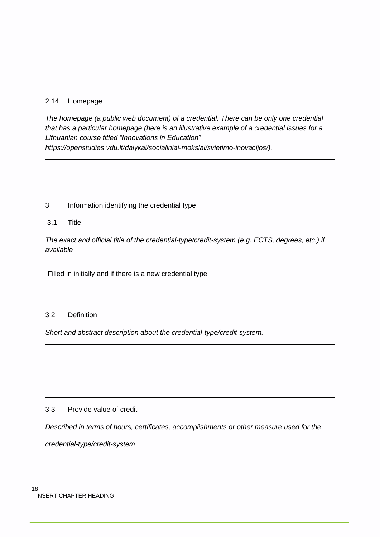### 2.14 Homepage

*The homepage (a public web document) of a credential. There can be only one credential that has a particular homepage (here is an illustrative example of a credential issues for a Lithuanian course titled "Innovations in Education" [https://openstudies.vdu.lt/dalykai/socialiniai-mokslai/svietimo-inovacijos/\)](https://openstudies.vdu.lt/dalykai/socialiniai-mokslai/svietimo-inovacijos/).*

#### 3. Information identifying the credential type

#### 3.1 Title

*The exact and official title of the credential-type/credit-system (e.g. ECTS, degrees, etc.) if available*

Filled in initially and if there is a new credential type.

#### 3.2 Definition

*Short and abstract description about the credential-type/credit-system.*

#### 3.3 Provide value of credit

*Described in terms of hours, certificates, accomplishments or other measure used for the*

*credential-type/credit-system*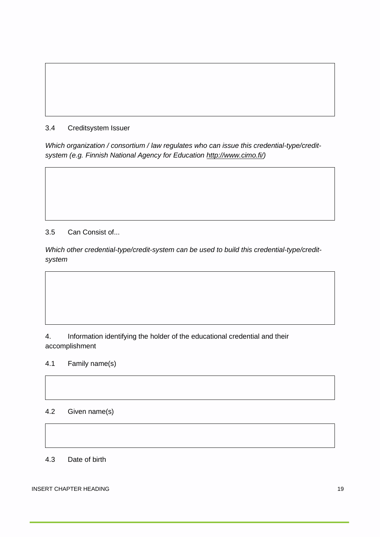## 3.4 Creditsystem Issuer

*Which organization / consortium / law regulates who can issue this credential-type/creditsystem (e.g. Finnish National Agency for Education [http://www.cimo.fi/\)](http://www.cimo.fi/)*

## 3.5 Can Consist of...

*Which other credential-type/credit-system can be used to build this credential-type/creditsystem*

4. Information identifying the holder of the educational credential and their accomplishment

### 4.1 Family name(s)

## 4.2 Given name(s)

4.3 Date of birth

#### INSERT CHAPTER HEADING 19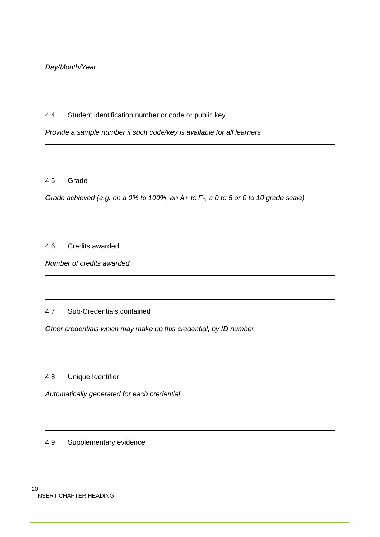#### *Day/Month/Year*

#### 4.4 Student identification number or code or public key

*Provide a sample number if such code/key is available for all learners*

#### 4.5 Grade

*Grade achieved (e.g. on a 0% to 100%, an A+ to F-, a 0 to 5 or 0 to 10 grade scale)*

#### 4.6 Credits awarded

*Number of credits awarded*

#### 4.7 Sub-Credentials contained

*Other credentials which may make up this credential, by ID number*

#### 4.8 Unique Identifier

*Automatically generated for each credential*

#### 4.9 Supplementary evidence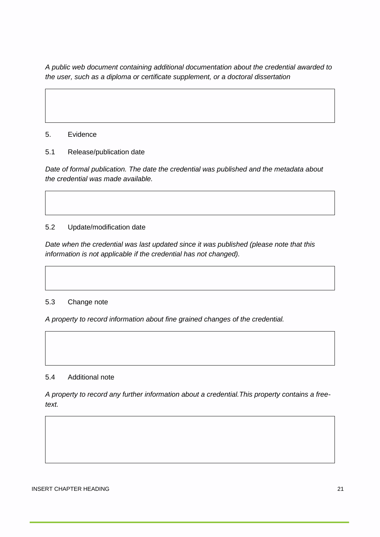*A public web document containing additional documentation about the credential awarded to the user, such as a diploma or certificate supplement, or a doctoral dissertation*

5. Evidence

5.1 Release/publication date

*Date of formal publication. The date the credential was published and the metadata about the credential was made available.*

### 5.2 Update/modification date

*Date when the credential was last updated since it was published (please note that this information is not applicable if the credential has not changed).*

#### 5.3 Change note

*A property to record information about fine grained changes of the credential.*

#### 5.4 Additional note

*A property to record any further information about a credential.This property contains a freetext.*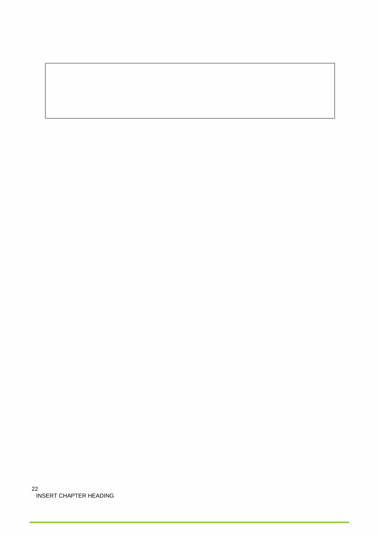22 INSERT CHAPTER HEADING